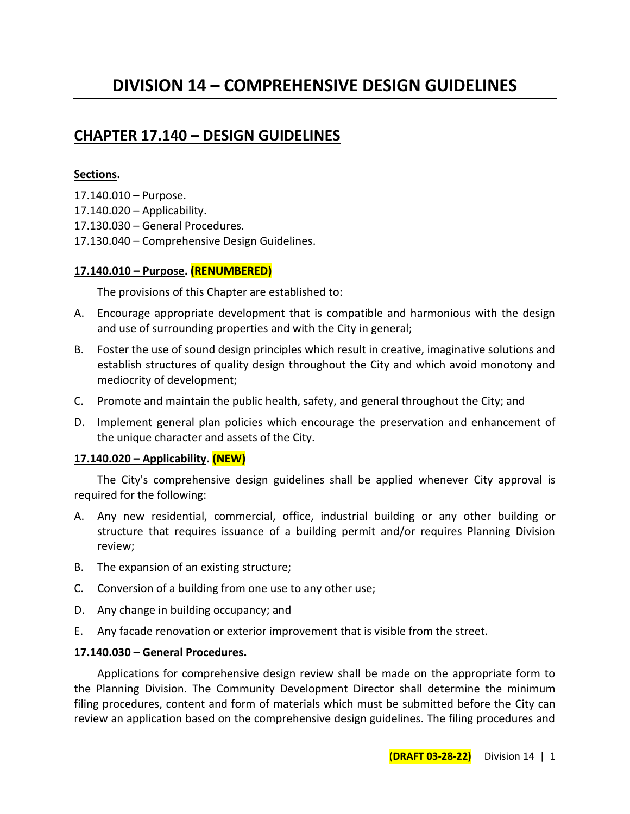# **CHAPTER 17.140 – DESIGN GUIDELINES**

### **Sections.**

- 17.140.010 Purpose.
- 17.140.020 Applicability.
- 17.130.030 General Procedures.
- 17.130.040 Comprehensive Design Guidelines.

## **17.140.010 – Purpose. (RENUMBERED)**

The provisions of this Chapter are established to:

- A. Encourage appropriate development that is compatible and harmonious with the design and use of surrounding properties and with the City in general;
- B. Foster the use of sound design principles which result in creative, imaginative solutions and establish structures of quality design throughout the City and which avoid monotony and mediocrity of development;
- C. Promote and maintain the public health, safety, and general throughout the City; and
- D. Implement general plan policies which encourage the preservation and enhancement of the unique character and assets of the City.

### **17.140.020 – Applicability. (NEW)**

The City's comprehensive design guidelines shall be applied whenever City approval is required for the following:

- A. Any new residential, commercial, office, industrial building or any other building or structure that requires issuance of a building permit and/or requires Planning Division review;
- B. The expansion of an existing structure;
- C. Conversion of a building from one use to any other use;
- D. Any change in building occupancy; and
- E. Any facade renovation or exterior improvement that is visible from the street.

### **17.140.030 – General Procedures.**

Applications for comprehensive design review shall be made on the appropriate form to the Planning Division. The Community Development Director shall determine the minimum filing procedures, content and form of materials which must be submitted before the City can review an application based on the comprehensive design guidelines. The filing procedures and